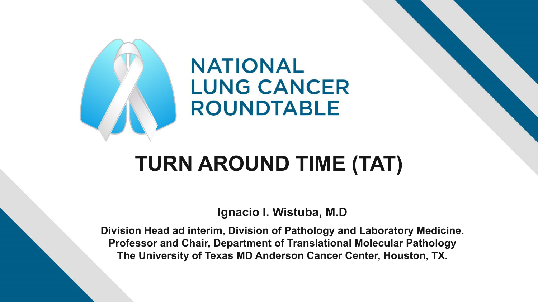

## **TURN AROUND TIME (TAT)**

**Ignacio I. Wistuba, M.D**

**Division Head ad interim, Division of Pathology and Laboratory Medicine. Professor and Chair, Department of Translational Molecular Pathology The University of Texas MD Anderson Cancer Center, Houston, TX.**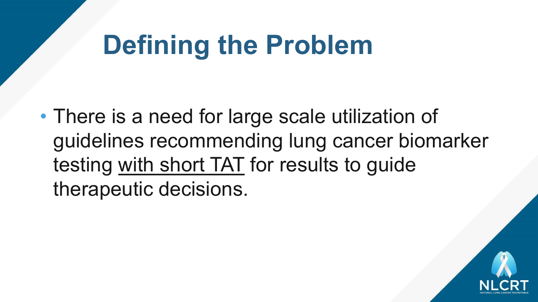# **Defining the Problem**

• There is a need for large scale utilization of guidelines recommending lung cancer biomarker testing with short TAT for results to guide therapeutic decisions.

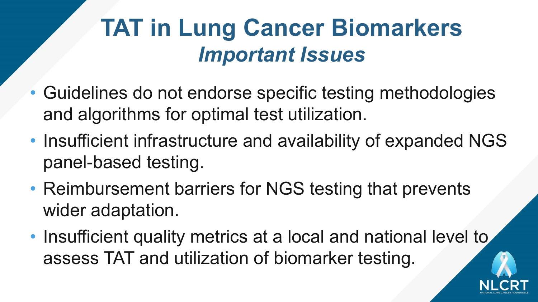## **TAT in Lung Cancer Biomarkers** *Important Issues*

- Guidelines do not endorse specific testing methodologies and algorithms for optimal test utilization.
- Insufficient infrastructure and availability of expanded NGS panel-based testing.
- Reimbursement barriers for NGS testing that prevents wider adaptation.
- Insufficient quality metrics at a local and national level to assess TAT and utilization of biomarker testing.

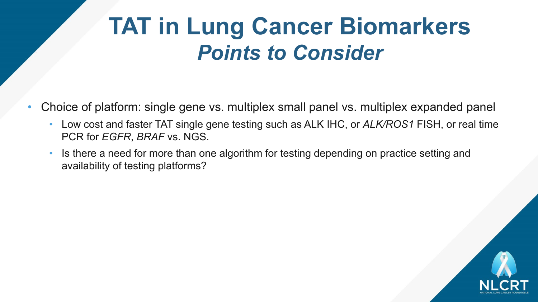#### **TAT in Lung Cancer Biomarkers**  *Points to Consider*

- Choice of platform: single gene vs. multiplex small panel vs. multiplex expanded panel
	- Low cost and faster TAT single gene testing such as ALK IHC, or *ALK/ROS1* FISH, or real time PCR for *EGFR*, *BRAF* vs. NGS.
	- Is there a need for more than one algorithm for testing depending on practice setting and availability of testing platforms?

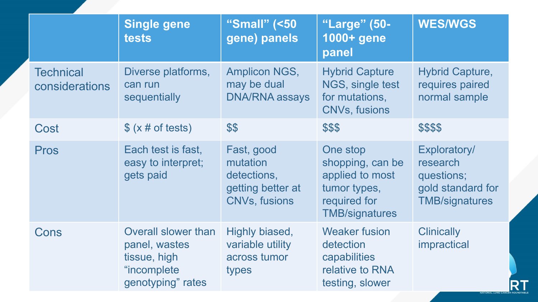|                                    | Single gene<br><b>tests</b>                                                                     | "Small" (<50<br>gene) panels                                                       | "Large" (50-<br>1000+ gene<br>panel                                                                      | <b>WES/WGS</b>                                                                       |
|------------------------------------|-------------------------------------------------------------------------------------------------|------------------------------------------------------------------------------------|----------------------------------------------------------------------------------------------------------|--------------------------------------------------------------------------------------|
| <b>Technical</b><br>considerations | Diverse platforms,<br>can run<br>sequentially                                                   | <b>Amplicon NGS,</b><br>may be dual<br><b>DNA/RNA assays</b>                       | <b>Hybrid Capture</b><br>NGS, single test<br>for mutations,<br><b>CNVs, fusions</b>                      | <b>Hybrid Capture,</b><br>requires paired<br>normal sample                           |
| Cost                               | $\frac{1}{2}$ (x # of tests)                                                                    | \$\$                                                                               | \$\$\$                                                                                                   | \$\$\$\$                                                                             |
| <b>Pros</b>                        | Each test is fast,<br>easy to interpret;<br>gets paid                                           | Fast, good<br>mutation<br>detections,<br>getting better at<br><b>CNVs, fusions</b> | One stop<br>shopping, can be<br>applied to most<br>tumor types,<br>required for<br><b>TMB/signatures</b> | Exploratory/<br>research<br>questions;<br>gold standard for<br><b>TMB/signatures</b> |
| Cons                               | <b>Overall slower than</b><br>panel, wastes<br>tissue, high<br>"incomplete<br>genotyping" rates | Highly biased,<br>variable utility<br>across tumor<br>types                        | <b>Weaker fusion</b><br>detection<br>capabilities<br>relative to RNA<br>testing, slower                  | <b>Clinically</b><br>impractical                                                     |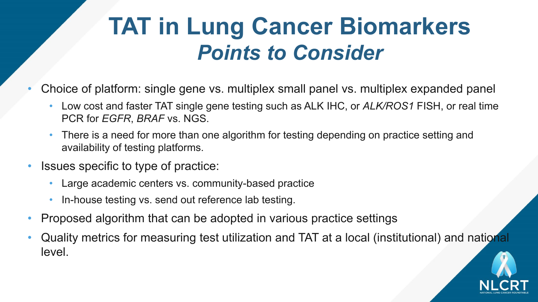#### **TAT in Lung Cancer Biomarkers**  *Points to Consider*

- Choice of platform: single gene vs. multiplex small panel vs. multiplex expanded panel
	- Low cost and faster TAT single gene testing such as ALK IHC, or *ALK/ROS1* FISH, or real time PCR for *EGFR*, *BRAF* vs. NGS.
	- There is a need for more than one algorithm for testing depending on practice setting and availability of testing platforms.
- Issues specific to type of practice:
	- Large academic centers vs. community-based practice
	- In-house testing vs. send out reference lab testing.
- Proposed algorithm that can be adopted in various practice settings
- Quality metrics for measuring test utilization and TAT at a local (institutional) and national level.

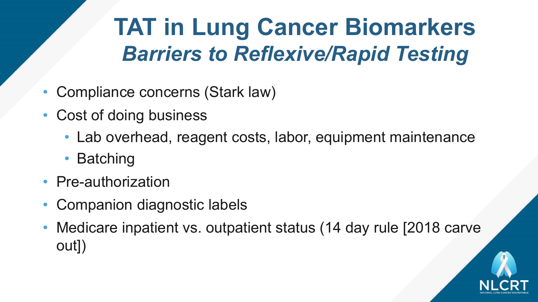# **TAT in Lung Cancer Biomarkers**  *Barriers to Reflexive/Rapid Testing*

- Compliance concerns (Stark law)
- Cost of doing business
	- Lab overhead, reagent costs, labor, equipment maintenance
	- Batching
- Pre-authorization
- Companion diagnostic labels
- Medicare inpatient vs. outpatient status (14 day rule [2018 carve out])